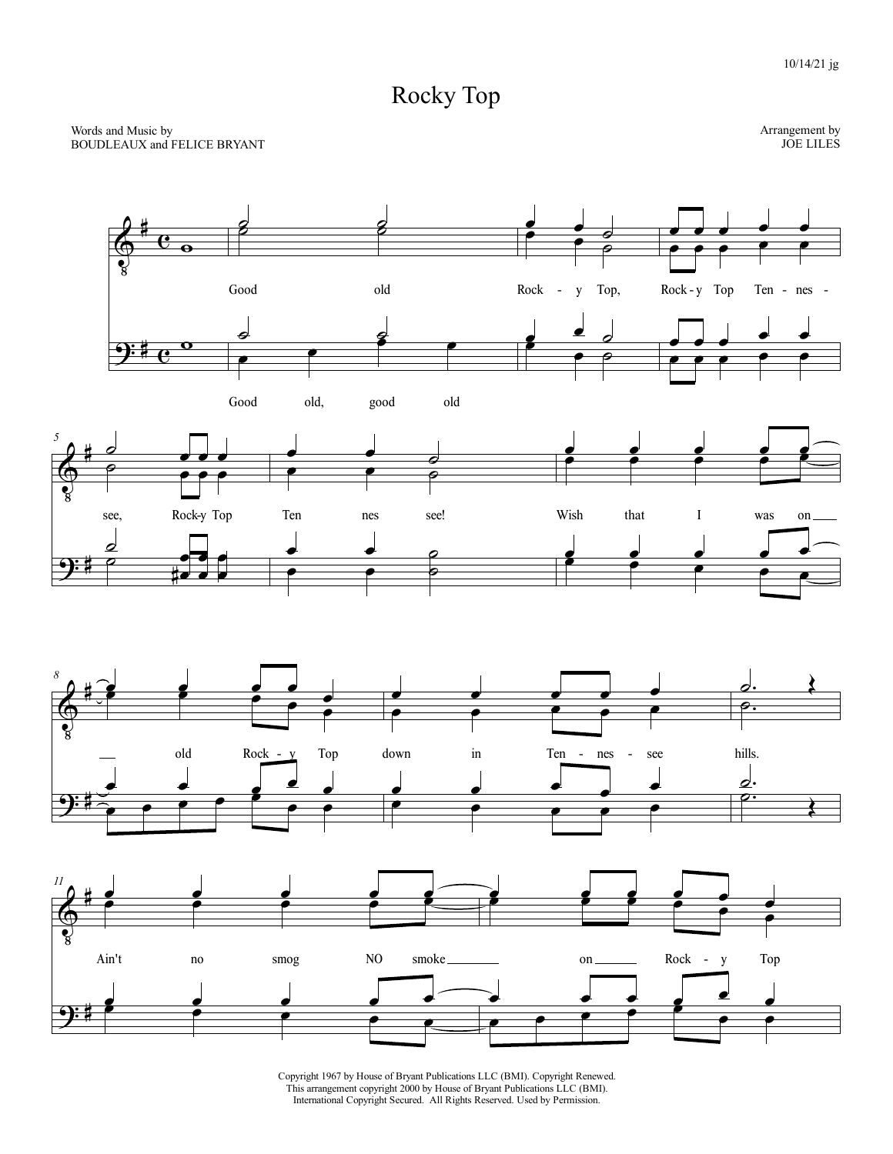## Rocky Top



Copyright 1967 by House of Bryant Publications LLC (BMI). Copyright Renewed. This arrangement copyright 2000 by House of Bryant Publications LLC (BMI). International Copyright Secured. All Rights Reserved. Used by Permission.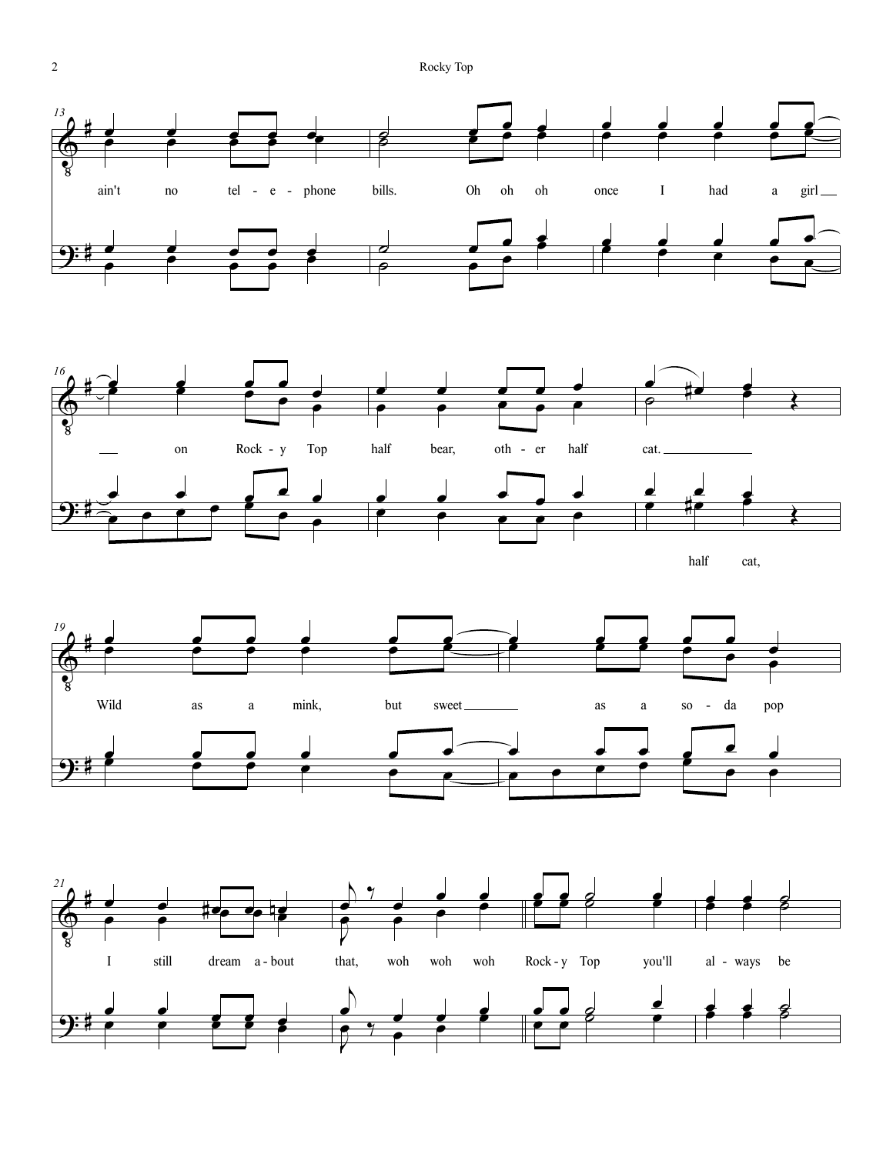





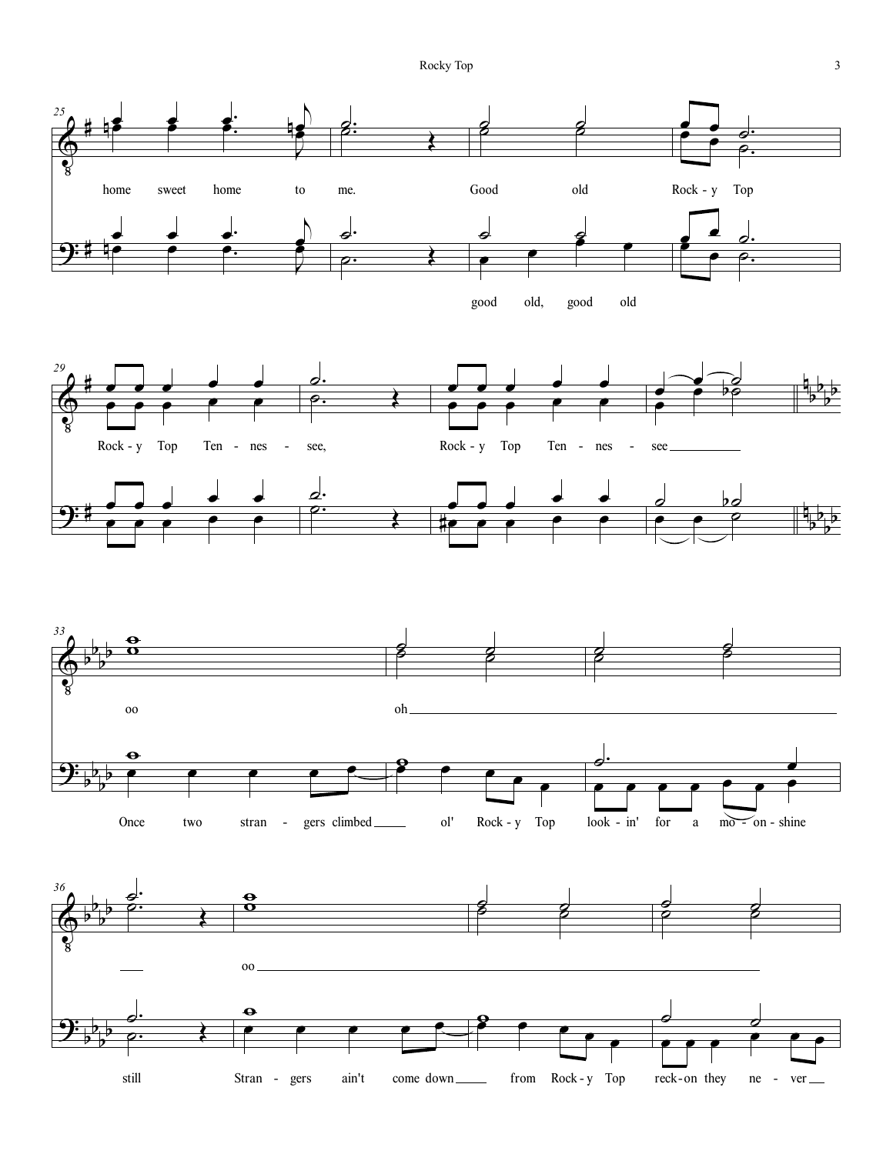Rocky Top 3

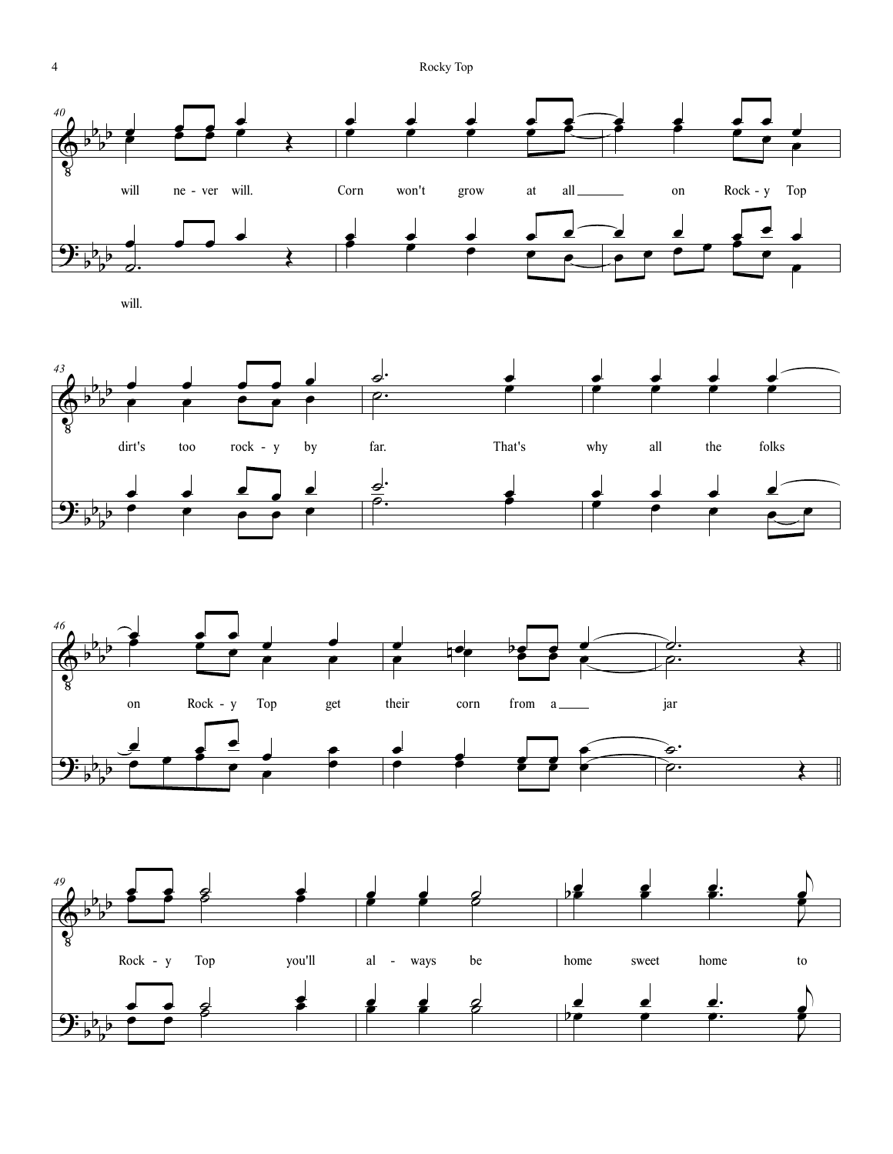

will.